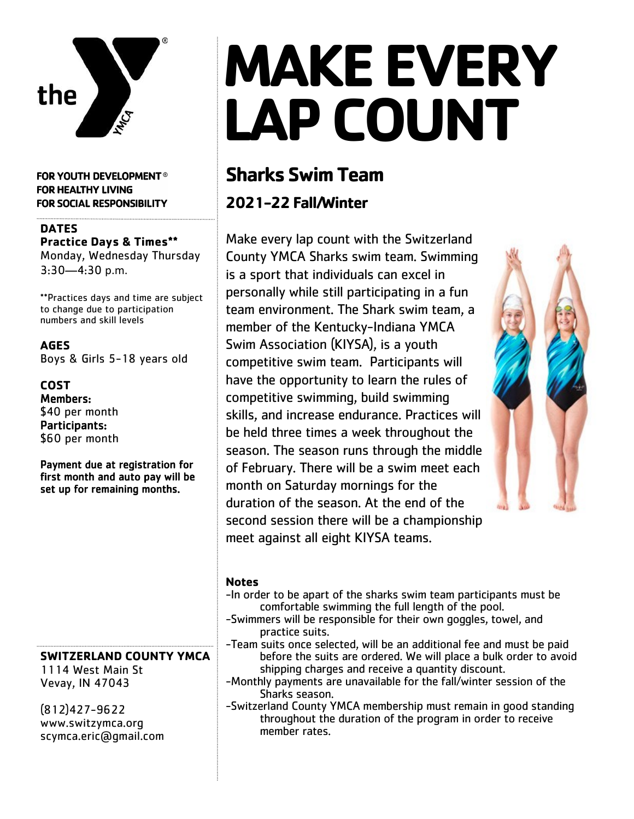

**FOR YOUTH DEVELOPMENT® FOR HEALTHY LIVING** FOR SOCIAL RESPONSIBILITY

#### **DATES Practice Days & Times\*\***

Monday, Wednesday Thursday 3:30—4:30 p.m.

\*\*Practices days and time are subject to change due to participation numbers and skill levels

**AGES** Boys & Girls 5-18 years old

**COST** Members: \$40 per month Participants: \$60 per month

Payment due at registration for first month and auto pay will be set up for remaining months.

#### **SWITZERLAND COUNTY YMCA**

1114 West Main St Vevay, IN 47043

(812)427-9622 www.switzymca.org scymca.eric@gmail.com

# **MAKE EVERY LAP COUNT**

## **Sharks Swim Team**

### **2021-22 Fall/Winter**

Make every lap count with the Switzerland County YMCA Sharks swim team. Swimming is a sport that individuals can excel in personally while still participating in a fun team environment. The Shark swim team, a member of the Kentucky-Indiana YMCA Swim Association (KIYSA), is a youth competitive swim team. Participants will have the opportunity to learn the rules of competitive swimming, build swimming skills, and increase endurance. Practices will be held three times a week throughout the season. The season runs through the middle of February. There will be a swim meet each month on Saturday mornings for the duration of the season. At the end of the second session there will be a championship meet against all eight KIYSA teams.



#### **Notes**

- -In order to be apart of the sharks swim team participants must be comfortable swimming the full length of the pool.
- -Swimmers will be responsible for their own goggles, towel, and practice suits.
- -Team suits once selected, will be an additional fee and must be paid before the suits are ordered. We will place a bulk order to avoid shipping charges and receive a quantity discount.
- -Monthly payments are unavailable for the fall/winter session of the Sharks season.
- -Switzerland County YMCA membership must remain in good standing throughout the duration of the program in order to receive member rates.